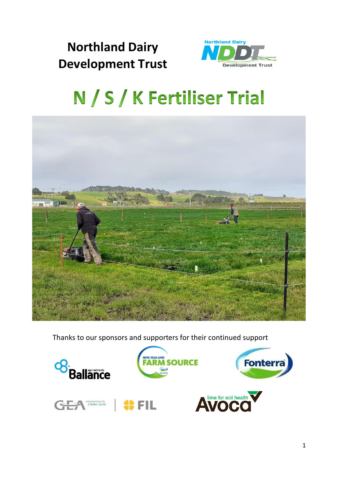# **Northland Dairy Development Trust**



# N / S / K Fertiliser Trial



Thanks to our sponsors and supporters for their continued support

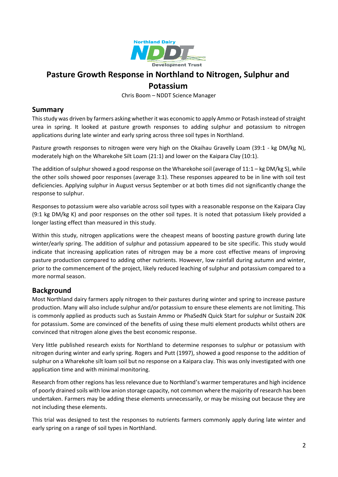

# **Pasture Growth Response in Northland to Nitrogen, Sulphur and Potassium**

Chris Boom – NDDT Science Manager

#### **Summary**

This study was driven by farmers asking whether it was economic to apply Ammo or Potash instead of straight urea in spring. It looked at pasture growth responses to adding sulphur and potassium to nitrogen applications during late winter and early spring across three soil types in Northland.

Pasture growth responses to nitrogen were very high on the Okaihau Gravelly Loam (39:1 - kg DM/kg N), moderately high on the Wharekohe Silt Loam (21:1) and lower on the Kaipara Clay (10:1).

The addition of sulphur showed a good response on the Wharekohe soil (average of  $11:1 - kg DM/kg S$ ), while the other soils showed poor responses (average 3:1). These responses appeared to be in line with soil test deficiencies. Applying sulphur in August versus September or at both times did not significantly change the response to sulphur.

Responses to potassium were also variable across soil types with a reasonable response on the Kaipara Clay (9:1 kg DM/kg K) and poor responses on the other soil types. It is noted that potassium likely provided a longer lasting effect than measured in this study.

Within this study, nitrogen applications were the cheapest means of boosting pasture growth during late winter/early spring. The addition of sulphur and potassium appeared to be site specific. This study would indicate that increasing application rates of nitrogen may be a more cost effective means of improving pasture production compared to adding other nutrients. However, low rainfall during autumn and winter, prior to the commencement of the project, likely reduced leaching of sulphur and potassium compared to a more normal season.

#### **Background**

Most Northland dairy farmers apply nitrogen to their pastures during winter and spring to increase pasture production. Many will also include sulphur and/or potassium to ensure these elements are not limiting. This is commonly applied as products such as Sustain Ammo or PhaSedN Quick Start for sulphur or SustaiN 20K for potassium. Some are convinced of the benefits of using these multi element products whilst others are convinced that nitrogen alone gives the best economic response.

Very little published research exists for Northland to determine responses to sulphur or potassium with nitrogen during winter and early spring. Rogers and Putt (1997), showed a good response to the addition of sulphur on a Wharekohe silt loam soil but no response on a Kaipara clay. This was only investigated with one application time and with minimal monitoring.

Research from other regions has less relevance due to Northland's warmer temperatures and high incidence of poorly drained soils with low anion storage capacity, not common where the majority of research has been undertaken. Farmers may be adding these elements unnecessarily, or may be missing out because they are not including these elements.

This trial was designed to test the responses to nutrients farmers commonly apply during late winter and early spring on a range of soil types in Northland.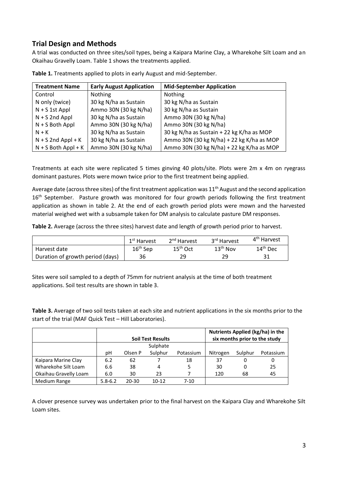## **Trial Design and Methods**

A trial was conducted on three sites/soil types, being a Kaipara Marine Clay, a Wharekohe Silt Loam and an Okaihau Gravelly Loam. Table 1 shows the treatments applied.

| <b>Treatment Name</b> | <b>Early August Application</b> | <b>Mid-September Application</b>          |
|-----------------------|---------------------------------|-------------------------------------------|
| Control               | <b>Nothing</b>                  | Nothing                                   |
| N only (twice)        | 30 kg N/ha as Sustain           | 30 kg N/ha as Sustain                     |
| $N + S$ 1st Appl      | Ammo 30N (30 kg N/ha)           | 30 kg N/ha as Sustain                     |
| $N + S$ 2nd Appl      | 30 kg N/ha as Sustain           | Ammo 30N (30 kg N/ha)                     |
| $N + S$ Both Appl     | Ammo 30N (30 kg N/ha)           | Ammo 30N (30 kg N/ha)                     |
| $N + K$               | 30 kg N/ha as Sustain           | 30 kg N/ha as Sustain + 22 kg K/ha as MOP |
| $N + S$ 2nd Appl + K  | 30 kg N/ha as Sustain           | Ammo 30N (30 kg N/ha) + 22 kg K/ha as MOP |
| $N + S$ Both Appl + K | Ammo 30N (30 kg N/ha)           | Ammo 30N (30 kg N/ha) + 22 kg K/ha as MOP |

**Table 1.** Treatments applied to plots in early August and mid-September.

Treatments at each site were replicated 5 times ginving 40 plots/site. Plots were 2m x 4m on ryegrass dominant pastures. Plots were mown twice prior to the first treatment being applied.

Average date (across three sites) of the first treatment application was 11<sup>th</sup> August and the second application 16<sup>th</sup> September. Pasture growth was monitored for four growth periods following the first treatment application as shown in table 2. At the end of each growth period plots were mown and the harvested material weighed wet with a subsample taken for DM analysis to calculate pasture DM responses.

**Table 2.** Average (across the three sites) harvest date and length of growth period prior to harvest.

|                                  | 1 <sup>st</sup> Harvest | 2 <sup>nd</sup> Harvest | 3 <sup>rd</sup> Harvest | 4 <sup>th</sup> Harvest |
|----------------------------------|-------------------------|-------------------------|-------------------------|-------------------------|
| Harvest date                     | $16th$ Sep              | $15th$ Oct              | $13th$ Nov              | 14 <sup>th</sup> Dec    |
| Duration of growth period (days) | 36                      | 29                      | 29                      | 31                      |

Sites were soil sampled to a depth of 75mm for nutrient analysis at the time of both treatment applications. Soil test results are shown in table 3.

**Table 3.** Average of two soil tests taken at each site and nutrient applications in the six months prior to the start of the trial (MAF Quick Test – Hill Laboratories).

|                       | <b>Soil Test Results</b> |          |           |           | Nutrients Applied (kg/ha) in the<br>six months prior to the study |         |           |
|-----------------------|--------------------------|----------|-----------|-----------|-------------------------------------------------------------------|---------|-----------|
|                       |                          | Sulphate |           |           |                                                                   |         |           |
|                       | рH                       | Olsen P  | Sulphur   | Potassium | Nitrogen                                                          | Sulphur | Potassium |
| Kaipara Marine Clay   | 6.2                      | 62       |           | 18        | 37                                                                | 0       | 0         |
| Wharekohe Silt Loam   | 6.6                      | 38       | 4         | 5         | 30                                                                | 0       | 25        |
| Okaihau Gravelly Loam | 6.0                      | 30       | 23        |           | 120                                                               | 68      | 45        |
| Medium Range          | $5.8 - 6.2$              | 20-30    | $10 - 12$ | 7-10      |                                                                   |         |           |

A clover presence survey was undertaken prior to the final harvest on the Kaipara Clay and Wharekohe Silt Loam sites.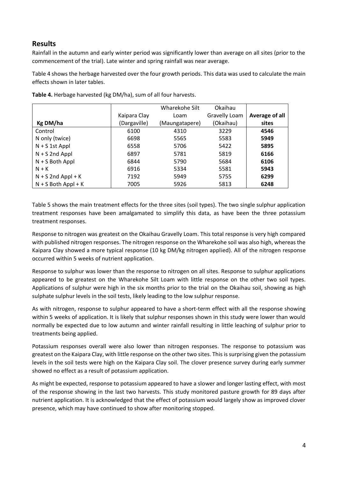#### **Results**

Rainfall in the autumn and early winter period was significantly lower than average on all sites (prior to the commencement of the trial). Late winter and spring rainfall was near average.

Table 4 shows the herbage harvested over the four growth periods. This data was used to calculate the main effects shown in later tables.

|                       |              | Wharekohe Silt | Okaihau       |                |
|-----------------------|--------------|----------------|---------------|----------------|
|                       | Kaipara Clay | Loam           | Gravelly Loam | Average of all |
| Kg DM/ha              | (Dargaville) | (Maungatapere) | (Okaihau)     | sites          |
| Control               | 6100         | 4310           | 3229          | 4546           |
| N only (twice)        | 6698         | 5565           | 5583          | 5949           |
| $N + S$ 1st Appl      | 6558         | 5706           | 5422          | 5895           |
| $N + S$ 2nd Appl      | 6897         | 5781           | 5819          | 6166           |
| $N + S$ Both Appl     | 6844         | 5790           | 5684          | 6106           |
| $N + K$               | 6916         | 5334           | 5581          | 5943           |
| $N + S$ 2nd Appl + K  | 7192         | 5949           | 5755          | 6299           |
| $N + S$ Both Appl + K | 7005         | 5926           | 5813          | 6248           |

**Table 4.** Herbage harvested (kg DM/ha), sum of all four harvests.

Table 5 shows the main treatment effects for the three sites (soil types). The two single sulphur application treatment responses have been amalgamated to simplify this data, as have been the three potassium treatment responses.

Response to nitrogen was greatest on the Okaihau Gravelly Loam. This total response is very high compared with published nitrogen responses. The nitrogen response on the Wharekohe soil was also high, whereas the Kaipara Clay showed a more typical response (10 kg DM/kg nitrogen applied). All of the nitrogen response occurred within 5 weeks of nutrient application.

Response to sulphur was lower than the response to nitrogen on all sites. Response to sulphur applications appeared to be greatest on the Wharekohe Silt Loam with little response on the other two soil types. Applications of sulphur were high in the six months prior to the trial on the Okaihau soil, showing as high sulphate sulphur levels in the soil tests, likely leading to the low sulphur response.

As with nitrogen, response to sulphur appeared to have a short-term effect with all the response showing within 5 weeks of application. It is likely that sulphur responses shown in this study were lower than would normally be expected due to low autumn and winter rainfall resulting in little leaching of sulphur prior to treatments being applied.

Potassium responses overall were also lower than nitrogen responses. The response to potassium was greatest on the Kaipara Clay, with little response on the other two sites. This is surprising given the potassium levels in the soil tests were high on the Kaipara Clay soil. The clover presence survey during early summer showed no effect as a result of potassium application.

As might be expected, response to potassium appeared to have a slower and longer lasting effect, with most of the response showing in the last two harvests. This study monitored pasture growth for 89 days after nutrient application. It is acknowledged that the effect of potassium would largely show as improved clover presence, which may have continued to show after monitoring stopped.